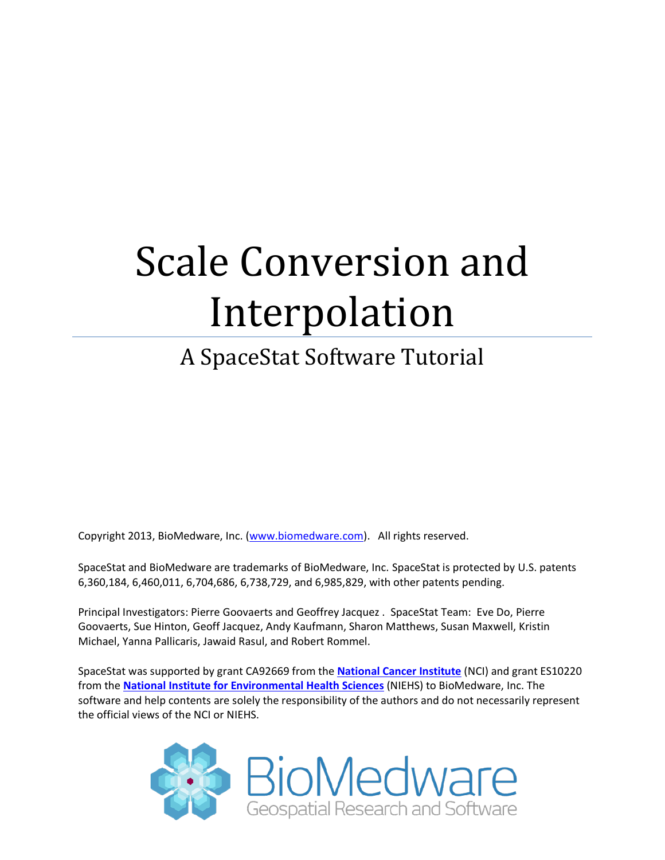# Scale Conversion and Interpolation

# A SpaceStat Software Tutorial

Copyright 2013, BioMedware, Inc. [\(www.biomedware.com\)](http://www.biomedware.com/). All rights reserved.

SpaceStat and BioMedware are trademarks of BioMedware, Inc. SpaceStat is protected by U.S. patents 6,360,184, 6,460,011, 6,704,686, 6,738,729, and 6,985,829, with other patents pending.

Principal Investigators: Pierre Goovaerts and Geoffrey Jacquez . SpaceStat Team: Eve Do, Pierre Goovaerts, Sue Hinton, Geoff Jacquez, Andy Kaufmann, Sharon Matthews, Susan Maxwell, Kristin Michael, Yanna Pallicaris, Jawaid Rasul, and Robert Rommel.

SpaceStat was supported by grant CA92669 from the **[National Cancer Institute](http://www.nci.nih.gov/)** (NCI) and grant ES10220 from the **[National Institute for Environmental Health Sciences](http://www.niehs.nih.gov/)** (NIEHS) to BioMedware, Inc. The software and help contents are solely the responsibility of the authors and do not necessarily represent the official views of the NCI or NIEHS.

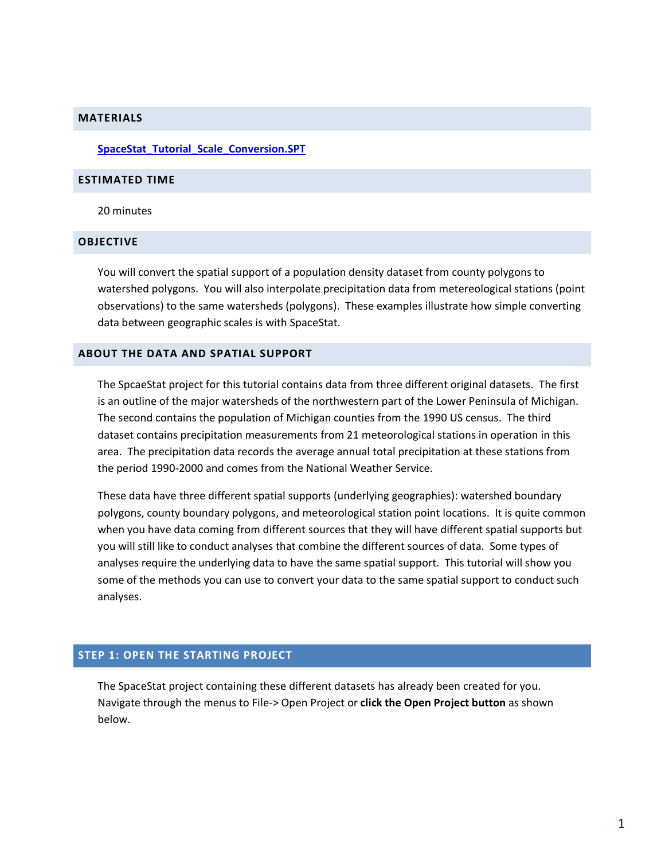#### **MATERIALS**

#### **[SpaceStat\\_Tutorial\\_Scale\\_Conversion.SPT](http://www.biomedware.com/subdomains/biomed/files/tutorials/ScaleConversionandInterpolation/SpaceStat_Tutorial_Scale_Conversion.spt)**

#### **ESTIMATED TIME**

20 minutes

#### **OBJECTIVE**

You will convert the spatial support of a population density dataset from county polygons to watershed polygons. You will also interpolate precipitation data from metereological stations (point observations) to the same watersheds (polygons). These examples illustrate how simple converting data between geographic scales is with SpaceStat.

#### **ABOUT THE DATA AND SPATIAL SUPPORT**

The SpcaeStat project for this tutorial contains data from three different original datasets. The first is an outline of the major watersheds of the northwestern part of the Lower Peninsula of Michigan. The second contains the population of Michigan counties from the 1990 US census. The third dataset contains precipitation measurements from 21 meteorological stations in operation in this area. The precipitation data records the average annual total precipitation at these stations from the period 1990-2000 and comes from the National Weather Service.

These data have three different spatial supports (underlying geographies): watershed boundary polygons, county boundary polygons, and meteorological station point locations. It is quite common when you have data coming from different sources that they will have different spatial supports but you will still like to conduct analyses that combine the different sources of data. Some types of analyses require the underlying data to have the same spatial support. This tutorial will show you some of the methods you can use to convert your data to the same spatial support to conduct such analyses.

#### **STEP 1: OPEN THE STARTING PROJECT**

The SpaceStat project containing these different datasets has already been created for you. Navigate through the menus to File-> Open Project or **click the Open Project button** as shown below.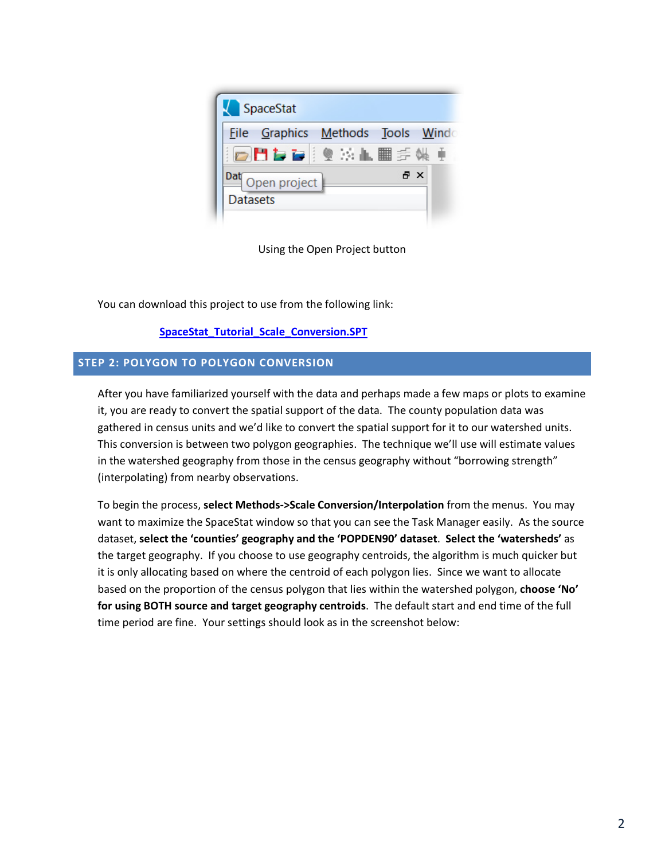

Using the Open Project button

You can download this project to use from the following link:

 **[SpaceStat\\_Tutorial\\_Scale\\_Conversion.SPT](http://www.biomedware.com/subdomains/biomed/files/tutorials/ScaleConversionandInterpolation/SpaceStat_Tutorial_Scale_Conversion.spt)**

#### **STEP 2: POLYGON TO POLYGON CONVERSION**

After you have familiarized yourself with the data and perhaps made a few maps or plots to examine it, you are ready to convert the spatial support of the data. The county population data was gathered in census units and we'd like to convert the spatial support for it to our watershed units. This conversion is between two polygon geographies. The technique we'll use will estimate values in the watershed geography from those in the census geography without "borrowing strength" (interpolating) from nearby observations.

To begin the process, **select Methods->Scale Conversion/Interpolation** from the menus. You may want to maximize the SpaceStat window so that you can see the Task Manager easily. As the source dataset, **select the 'counties' geography and the 'POPDEN90' dataset**. **Select the 'watersheds'** as the target geography. If you choose to use geography centroids, the algorithm is much quicker but it is only allocating based on where the centroid of each polygon lies. Since we want to allocate based on the proportion of the census polygon that lies within the watershed polygon, **choose 'No' for using BOTH source and target geography centroids**. The default start and end time of the full time period are fine. Your settings should look as in the screenshot below: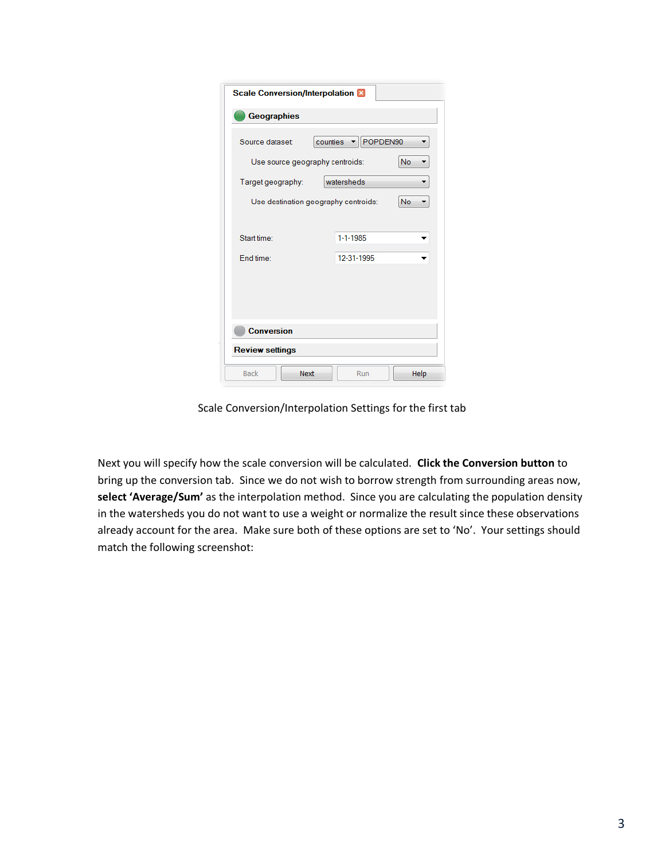| <b>Scale Conversion/Interpolation</b>             |            |                |      |  |  |
|---------------------------------------------------|------------|----------------|------|--|--|
| <b>Geographies</b>                                |            |                |      |  |  |
| Source dataset:                                   | counties   | POPDEN90       |      |  |  |
| <b>No</b><br>Use source geography centroids:      |            |                |      |  |  |
| Target geography:                                 | watersheds |                |      |  |  |
| <b>No</b><br>Use destination geography centroids: |            |                |      |  |  |
|                                                   |            |                |      |  |  |
| Start time:                                       |            | $1 - 1 - 1985$ |      |  |  |
| End time:                                         | 12-31-1995 |                |      |  |  |
|                                                   |            |                |      |  |  |
|                                                   |            |                |      |  |  |
|                                                   |            |                |      |  |  |
| <b>Conversion</b>                                 |            |                |      |  |  |
| <b>Review settings</b>                            |            |                |      |  |  |
| <b>Back</b>                                       | Next       | Run            | Help |  |  |

Scale Conversion/Interpolation Settings for the first tab

Next you will specify how the scale conversion will be calculated. **Click the Conversion button** to bring up the conversion tab. Since we do not wish to borrow strength from surrounding areas now, **select 'Average/Sum'** as the interpolation method. Since you are calculating the population density in the watersheds you do not want to use a weight or normalize the result since these observations already account for the area. Make sure both of these options are set to 'No'. Your settings should match the following screenshot: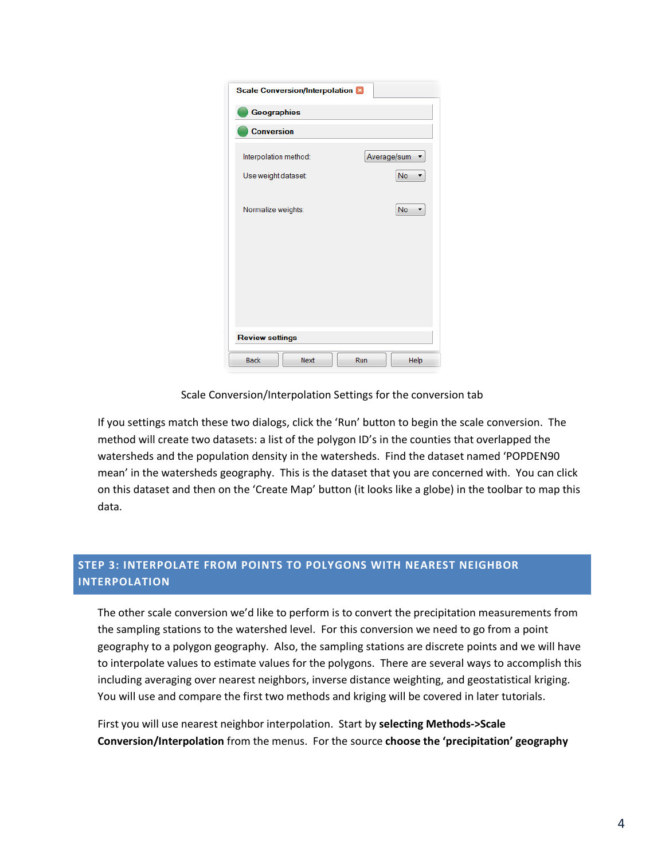| <b>Scale Conversion/Interpolation X</b> |             |     |             |  |
|-----------------------------------------|-------------|-----|-------------|--|
| <b>Geographies</b>                      |             |     |             |  |
| <b>Conversion</b>                       |             |     |             |  |
| Interpolation method:                   |             |     | Average/sum |  |
| Use weight dataset:                     |             |     | <b>No</b>   |  |
| Normalize weights:                      |             |     | <b>No</b>   |  |
| <b>Review settings</b>                  |             |     |             |  |
| <b>Back</b>                             | <b>Next</b> | Run | Help        |  |

Scale Conversion/Interpolation Settings for the conversion tab

If you settings match these two dialogs, click the 'Run' button to begin the scale conversion. The method will create two datasets: a list of the polygon ID's in the counties that overlapped the watersheds and the population density in the watersheds. Find the dataset named 'POPDEN90 mean' in the watersheds geography. This is the dataset that you are concerned with. You can click on this dataset and then on the 'Create Map' button (it looks like a globe) in the toolbar to map this data.

# **STEP 3: INTERPOLATE FROM POINTS TO POLYGONS WITH NEAREST NEIGHBOR INTERPOLATION**

The other scale conversion we'd like to perform is to convert the precipitation measurements from the sampling stations to the watershed level. For this conversion we need to go from a point geography to a polygon geography. Also, the sampling stations are discrete points and we will have to interpolate values to estimate values for the polygons. There are several ways to accomplish this including averaging over nearest neighbors, inverse distance weighting, and geostatistical kriging. You will use and compare the first two methods and kriging will be covered in later tutorials.

First you will use nearest neighbor interpolation. Start by **selecting Methods->Scale Conversion/Interpolation** from the menus. For the source **choose the 'precipitation' geography**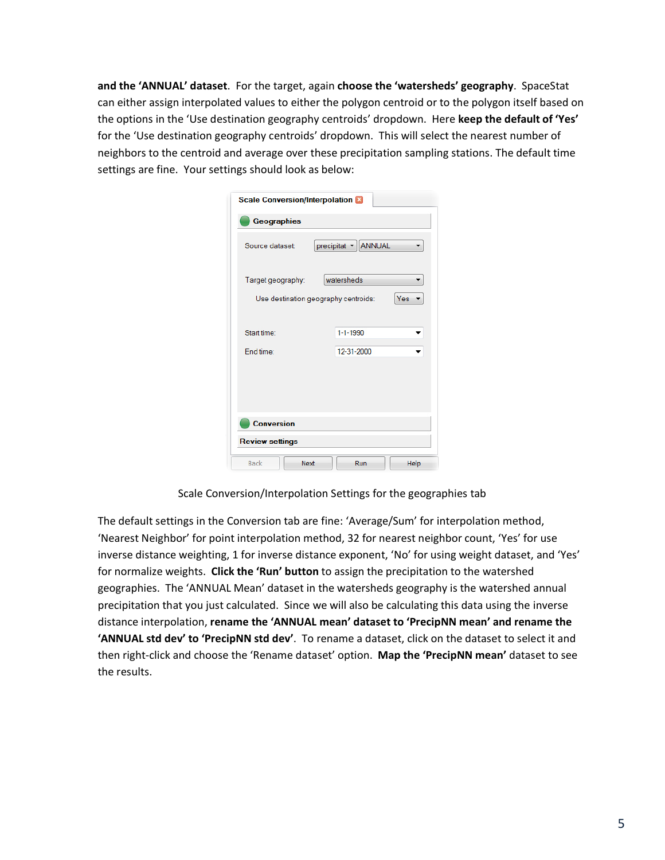**and the 'ANNUAL' dataset**. For the target, again **choose the 'watersheds' geography**. SpaceStat can either assign interpolated values to either the polygon centroid or to the polygon itself based on the options in the 'Use destination geography centroids' dropdown. Here **keep the default of 'Yes'** for the 'Use destination geography centroids' dropdown. This will select the nearest number of neighbors to the centroid and average over these precipitation sampling stations. The default time settings are fine. Your settings should look as below:

| <b>Scale Conversion/Interpolation</b><br><b>Geographies</b> |      |                                      |            |  |
|-------------------------------------------------------------|------|--------------------------------------|------------|--|
| Source dataset:                                             |      | precipitat • ANNUAL                  |            |  |
| Target geography:                                           |      | watersheds                           |            |  |
|                                                             |      | Use destination geography centroids: | <b>Yes</b> |  |
| Start time:                                                 |      | $1 - 1 - 1990$                       |            |  |
| Fnd time:                                                   |      | 12-31-2000                           |            |  |
|                                                             |      |                                      |            |  |
|                                                             |      |                                      |            |  |
| <b>Conversion</b>                                           |      |                                      |            |  |
| <b>Review settings</b>                                      |      |                                      |            |  |
| <b>Back</b>                                                 | Next | Run                                  | Help       |  |

Scale Conversion/Interpolation Settings for the geographies tab

The default settings in the Conversion tab are fine: 'Average/Sum' for interpolation method, 'Nearest Neighbor' for point interpolation method, 32 for nearest neighbor count, 'Yes' for use inverse distance weighting, 1 for inverse distance exponent, 'No' for using weight dataset, and 'Yes' for normalize weights. **Click the 'Run' button** to assign the precipitation to the watershed geographies. The 'ANNUAL Mean' dataset in the watersheds geography is the watershed annual precipitation that you just calculated. Since we will also be calculating this data using the inverse distance interpolation, **rename the 'ANNUAL mean' dataset to 'PrecipNN mean' and rename the 'ANNUAL std dev' to 'PrecipNN std dev'**. To rename a dataset, click on the dataset to select it and then right-click and choose the 'Rename dataset' option. **Map the 'PrecipNN mean'** dataset to see the results.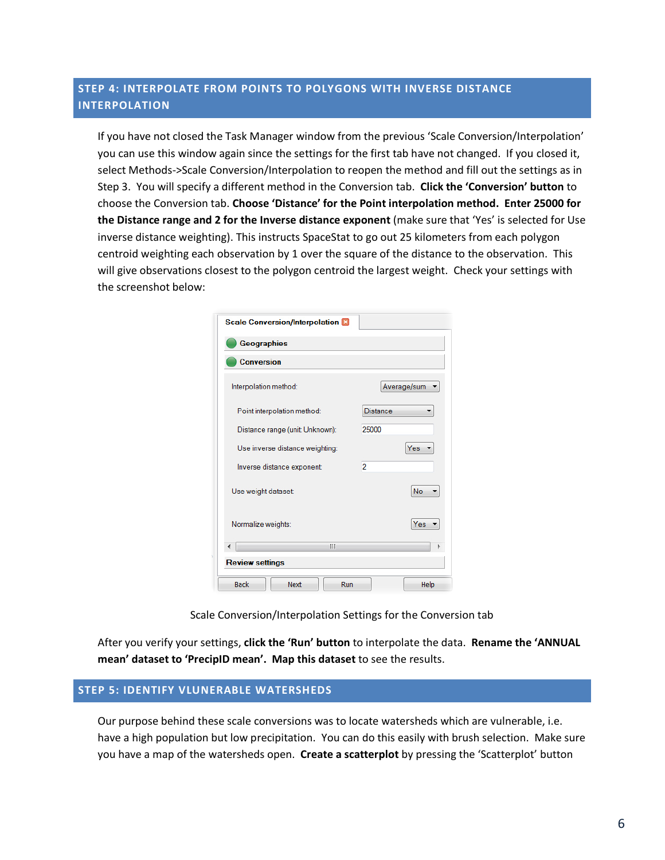## **STEP 4: INTERPOLATE FROM POINTS TO POLYGONS WITH INVERSE DISTANCE INTERPOLATION**

If you have not closed the Task Manager window from the previous 'Scale Conversion/Interpolation' you can use this window again since the settings for the first tab have not changed. If you closed it, select Methods->Scale Conversion/Interpolation to reopen the method and fill out the settings as in Step 3. You will specify a different method in the Conversion tab. **Click the 'Conversion' button** to choose the Conversion tab. **Choose 'Distance' for the Point interpolation method. Enter 25000 for the Distance range and 2 for the Inverse distance exponent** (make sure that 'Yes' is selected for Use inverse distance weighting). This instructs SpaceStat to go out 25 kilometers from each polygon centroid weighting each observation by 1 over the square of the distance to the observation. This will give observations closest to the polygon centroid the largest weight. Check your settings with the screenshot below:

|                                 | <b>Scale Conversion/Interpolation X</b> |                |                 |      |
|---------------------------------|-----------------------------------------|----------------|-----------------|------|
| <b>Geographies</b>              |                                         |                |                 |      |
| <b>Conversion</b>               |                                         |                |                 |      |
| Interpolation method:           |                                         | Average/sum    |                 |      |
| Point interpolation method:     |                                         |                | <b>Distance</b> |      |
| Distance range (unit: Unknown): |                                         | 25000          |                 |      |
|                                 | Use inverse distance weighting:         |                |                 | Yes  |
| Inverse distance exponent:      |                                         | $\overline{2}$ |                 |      |
| Use weight dataset:             |                                         |                |                 | No   |
| Normalize weights:              |                                         |                |                 | Yes  |
|                                 |                                         | Ш              |                 |      |
| <b>Review settings</b>          |                                         |                |                 |      |
| <b>Back</b>                     | Next                                    | Run            |                 | Help |

Scale Conversion/Interpolation Settings for the Conversion tab

After you verify your settings, **click the 'Run' button** to interpolate the data. **Rename the 'ANNUAL mean' dataset to 'PrecipID mean'. Map this dataset** to see the results.

#### **STEP 5: IDENTIFY VLUNERABLE WATERSHEDS**

Our purpose behind these scale conversions was to locate watersheds which are vulnerable, i.e. have a high population but low precipitation. You can do this easily with brush selection. Make sure you have a map of the watersheds open. **Create a scatterplot** by pressing the 'Scatterplot' button